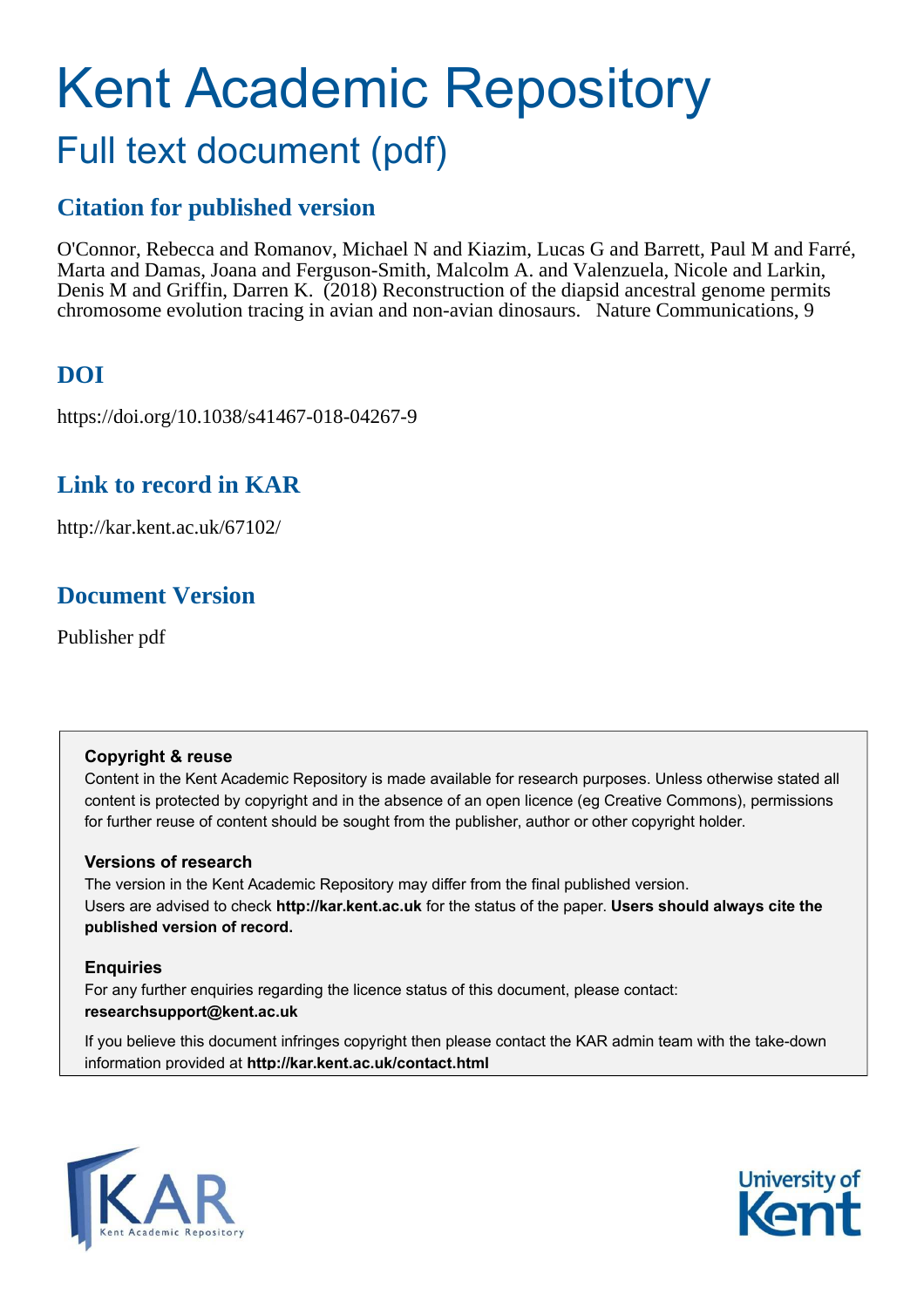# Kent Academic Repository Full text document (pdf)

# **Citation for published version**

O'Connor, Rebecca and Romanov, Michael N and Kiazim, Lucas G and Barrett, Paul M and Farré, Marta and Damas, Joana and Ferguson-Smith, Malcolm A. and Valenzuela, Nicole and Larkin, Denis M and Griffin, Darren K. (2018) Reconstruction of the diapsid ancestral genome permits chromosome evolution tracing in avian and non-avian dinosaurs. Nature Communications, 9

# **DOI**

https://doi.org/10.1038/s41467-018-04267-9

# **Link to record in KAR**

http://kar.kent.ac.uk/67102/

# **Document Version**

Publisher pdf

# **Copyright & reuse**

Content in the Kent Academic Repository is made available for research purposes. Unless otherwise stated all content is protected by copyright and in the absence of an open licence (eg Creative Commons), permissions for further reuse of content should be sought from the publisher, author or other copyright holder.

# **Versions of research**

The version in the Kent Academic Repository may differ from the final published version. Users are advised to check **http://kar.kent.ac.uk** for the status of the paper. **Users should always cite the published version of record.**

# **Enquiries**

For any further enquiries regarding the licence status of this document, please contact: **researchsupport@kent.ac.uk**

If you believe this document infringes copyright then please contact the KAR admin team with the take-down information provided at **http://kar.kent.ac.uk/contact.html**



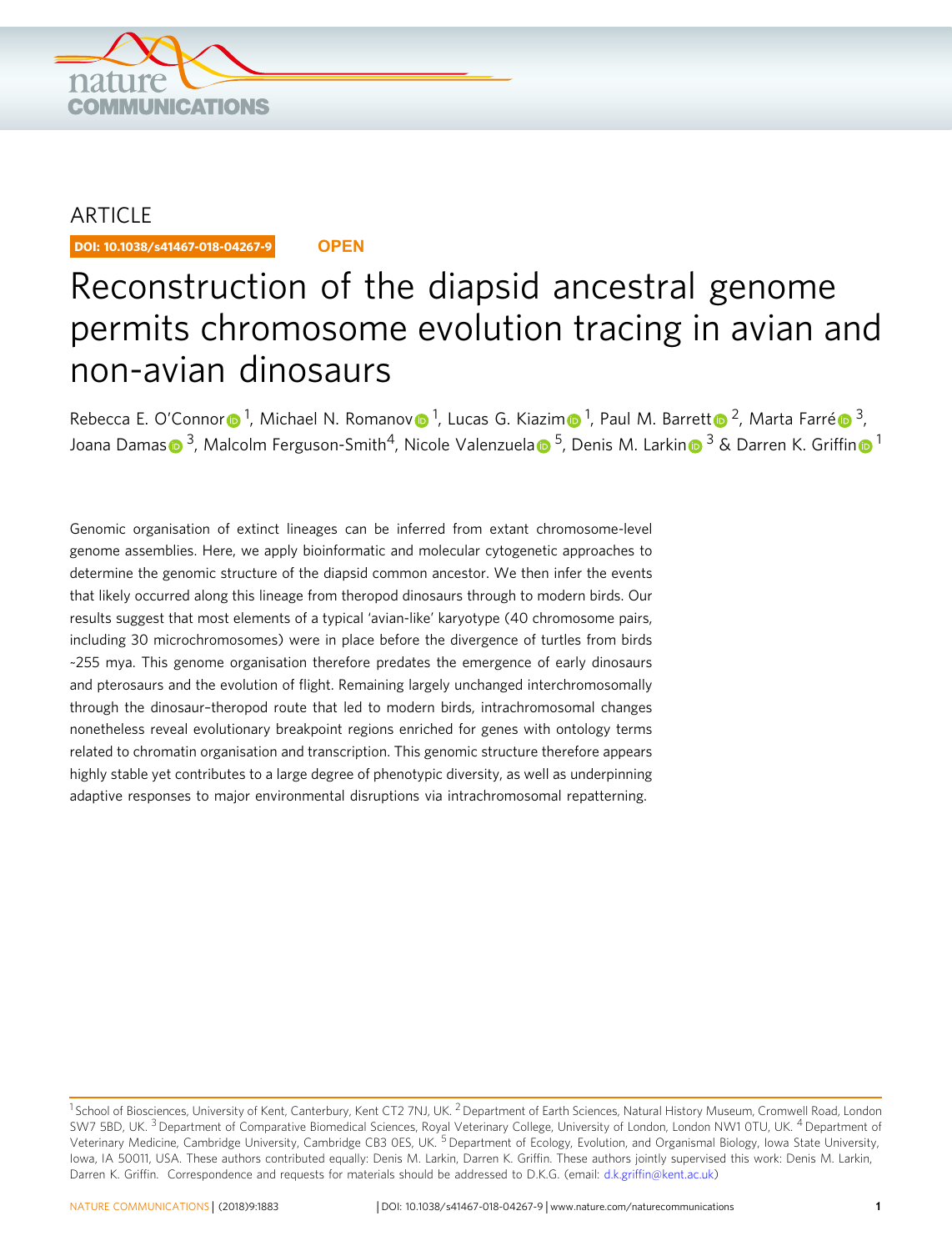

# ARTICLE

DOI: 10.1038/s41467-018-04267-9 **OPEN**

# Reconstruction of the diapsid ancestral genome permits chromosome evolution tracing in avian and non-avian dinosaurs

Rebecca E. O'Conno[r](http://orcid.org/0000-0002-4270-970X)⋒<sup>1</sup>, Michael N. Romano[v](http://orcid.org/0000-0003-3584-4644)⋒<sup>[1](http://orcid.org/0000-0003-3584-4644)</sup>, Lucas G. Kiazi[m](http://orcid.org/0000-0001-6498-0421)⋒<sup>1</sup>, Paul M. Barre[t](http://orcid.org/0000-0003-0412-3000)t⋒<sup>[2](http://orcid.org/0000-0003-0412-3000)</sup>, Marta Farr[é](http://orcid.org/0000-0001-9170-5767)⋒<sup>[3](http://orcid.org/0000-0001-9170-5767)</sup>, Joana Dama[s](http://orcid.org/0000-0003-4857-2510)⋒<sup>[3](http://orcid.org/0000-0003-4857-2510)</sup>, M[a](http://orcid.org/0000-0003-1148-631X)lcolm Ferguso[n](http://orcid.org/0000-0001-7595-3226)-Smith<sup>4</sup>, Nicole Valenzuela⋒<sup>5</sup>, Denis M. Larkin⋒<sup>3</sup> & Darren K. Griffin⋒<sup>[1](http://orcid.org/0000-0001-7595-3226)</sup>

Genomic organisation of extinct lineages can be inferred from extant chromosome-level genome assemblies. Here, we apply bioinformatic and molecular cytogenetic approaches to determine the genomic structure of the diapsid common ancestor. We then infer the events that likely occurred along this lineage from theropod dinosaurs through to modern birds. Our results suggest that most elements of a typical 'avian-like' karyotype (40 chromosome pairs, including 30 microchromosomes) were in place before the divergence of turtles from birds ~255 mya. This genome organisation therefore predates the emergence of early dinosaurs and pterosaurs and the evolution of flight. Remaining largely unchanged interchromosomally through the dinosaur–theropod route that led to modern birds, intrachromosomal changes nonetheless reveal evolutionary breakpoint regions enriched for genes with ontology terms related to chromatin organisation and transcription. This genomic structure therefore appears highly stable yet contributes to a large degree of phenotypic diversity, as well as underpinning adaptive responses to major environmental disruptions via intrachromosomal repatterning.

<sup>&</sup>lt;sup>1</sup> School of Biosciences, University of Kent, Canterbury, Kent CT2 7NJ, UK. <sup>2</sup> Department of Earth Sciences, Natural History Museum, Cromwell Road, London SW7 5BD, UK.<sup>3</sup> Department of Comparative Biomedical Sciences, Royal Veterinary College, University of London, London NW1 0TU, UK.<sup>4</sup> Department of Veterinary Medicine, Cambridge University, Cambridge CB3 OES, UK.<sup>5</sup> Department of Ecology, Evolution, and Organismal Biology, Iowa State University, Iowa, IA 50011, USA. These authors contributed equally: Denis M. Larkin, Darren K. Griffin. These authors jointly supervised this work: Denis M. Larkin, Darren K. Griffin. Correspondence and requests for materials should be addressed to D.K.G. (email: d.k.griffi[n@kent.ac.uk\)](mailto:d.k.griffin@kent.ac.uk)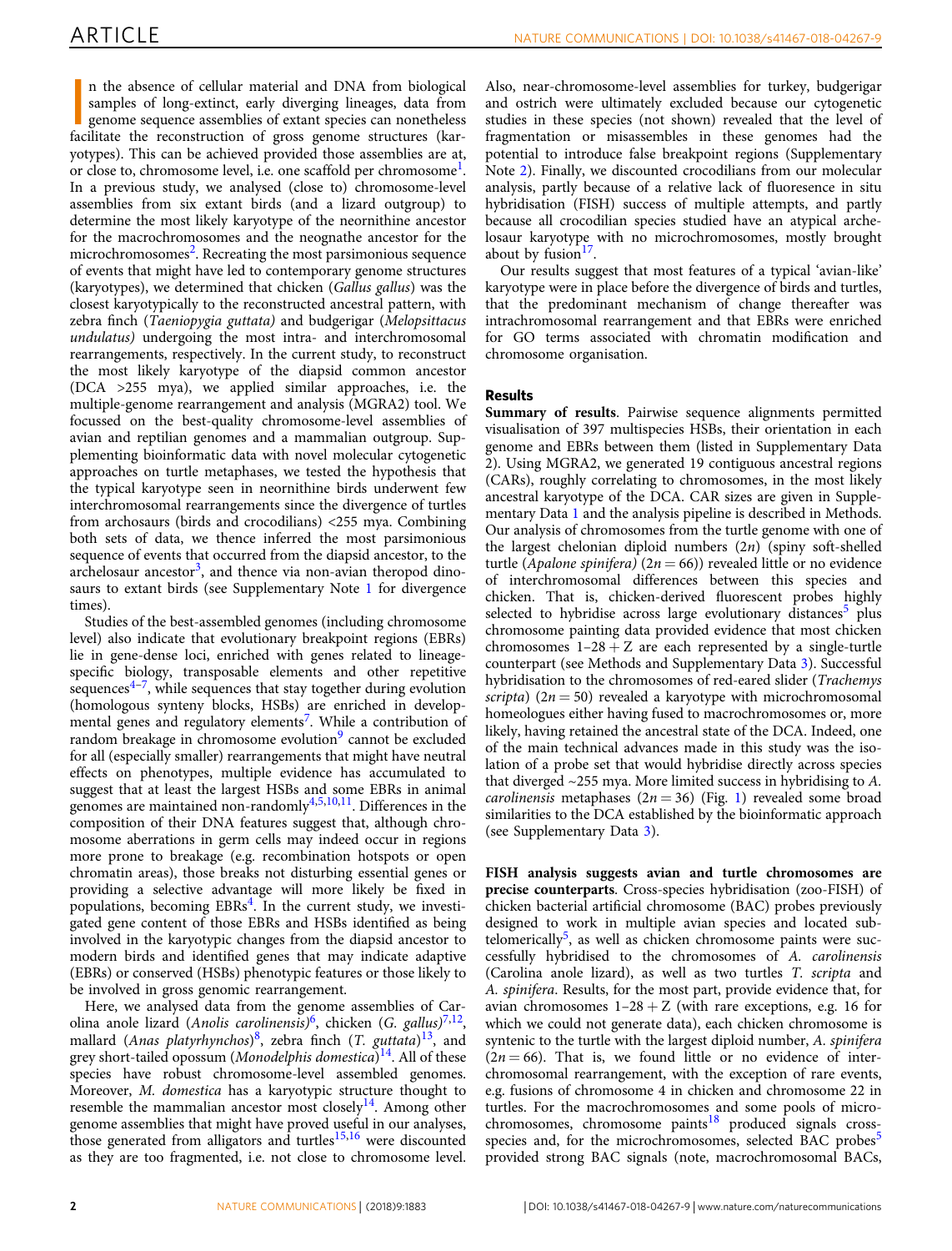I n the absence of cellular material and DNA from biological samples of long-extinct, early diverging lineages, data from genome sequence assemblies of extant species can nonetheless facilitate the reconstruction of gross genome structures (karyotypes). This can be achieved provided those assemblies are at, or close to, chromosome level, i.e. one scaffold per chromosome<sup>[1](#page-7-0)</sup>. In a previous study, we analysed (close to) chromosome-level assemblies from six extant birds (and a lizard outgroup) to determine the most likely karyotype of the neornithine ancestor for the macrochromosomes and the neognathe ancestor for the microchromosomes<sup>[2](#page-7-0)</sup>. Recreating the most parsimonious sequence of events that might have led to contemporary genome structures (karyotypes), we determined that chicken (Gallus gallus) was the closest karyotypically to the reconstructed ancestral pattern, with zebra finch (Taeniopygia guttata) and budgerigar (Melopsittacus undulatus) undergoing the most intra- and interchromosomal rearrangements, respectively. In the current study, to reconstruct the most likely karyotype of the diapsid common ancestor (DCA >255 mya), we applied similar approaches, i.e. the multiple-genome rearrangement and analysis (MGRA2) tool. We focussed on the best-quality chromosome-level assemblies of avian and reptilian genomes and a mammalian outgroup. Supplementing bioinformatic data with novel molecular cytogenetic approaches on turtle metaphases, we tested the hypothesis that the typical karyotype seen in neornithine birds underwent few interchromosomal rearrangements since the divergence of turtles from archosaurs (birds and crocodilians) <255 mya. Combining both sets of data, we thence inferred the most parsimonious sequence of events that occurred from the diapsid ancestor, to the archelosaur ancestor<sup>[3](#page-7-0)</sup>, and thence via non-avian theropod dinosaurs to extant birds (see Supplementary Note 1 for divergence times).

Studies of the best-assembled genomes (including chromosome level) also indicate that evolutionary breakpoint regions (EBRs) lie in gene-dense loci, enriched with genes related to lineagespecific biology, transposable elements and other repetitive  $\frac{1}{2}$  sequences<sup>[4](#page-7-0)–[7](#page-7-0)</sup>, while sequences that stay together during evolution (homologous synteny blocks, HSBs) are enriched in develop-mental genes and regulatory elements<sup>[7](#page-7-0)</sup>. While a contribution of random breakage in chromosome evolution<sup>[9](#page-7-0)</sup> cannot be excluded for all (especially smaller) rearrangements that might have neutral effects on phenotypes, multiple evidence has accumulated to suggest that at least the largest HSBs and some EBRs in animal genomes are maintained non-randomly<sup>[4](#page-7-0),[5,10,11](#page-7-0)</sup>. Differences in the composition of their DNA features suggest that, although chromosome aberrations in germ cells may indeed occur in regions more prone to breakage (e.g. recombination hotspots or open chromatin areas), those breaks not disturbing essential genes or providing a selective advantage will more likely be fixed in populations, becoming EBRs<sup>[4](#page-7-0)</sup>. In the current study, we investigated gene content of those EBRs and HSBs identified as being involved in the karyotypic changes from the diapsid ancestor to modern birds and identified genes that may indicate adaptive (EBRs) or conserved (HSBs) phenotypic features or those likely to be involved in gross genomic rearrangement.

Here, we analysed data from the genome assemblies of Car-olina anole lizard (Anolis carolinensis)<sup>[6](#page-7-0)</sup>, chicken (G. gallus)<sup>[7,12](#page-7-0)</sup>, mallard (Anas platyrhynchos)<sup>[8](#page-7-0)</sup>, zebra finch (T. guttata)<sup>[13](#page-7-0)</sup>, and grey short-tailed opossum (Monodelphis domestica)<sup>[14](#page-7-0)</sup>. All of these species have robust chromosome-level assembled genomes. Moreover, M. domestica has a karyotypic structure thought to resemble the mammalian ancestor most closely $14$ . Among other genome assemblies that might have proved useful in our analyses, those generated from alligators and turtles<sup>[15,16](#page-7-0)</sup> were discounted as they are too fragmented, i.e. not close to chromosome level.

Also, near-chromosome-level assemblies for turkey, budgerigar and ostrich were ultimately excluded because our cytogenetic studies in these species (not shown) revealed that the level of fragmentation or misassembles in these genomes had the potential to introduce false breakpoint regions (Supplementary Note 2). Finally, we discounted crocodilians from our molecular analysis, partly because of a relative lack of fluoresence in situ hybridisation (FISH) success of multiple attempts, and partly because all crocodilian species studied have an atypical archelosaur karyotype with no microchromosomes, mostly brought about by fusion $17$ .

Our results suggest that most features of a typical 'avian-like' karyotype were in place before the divergence of birds and turtles, that the predominant mechanism of change thereafter was intrachromosomal rearrangement and that EBRs were enriched for GO terms associated with chromatin modification and chromosome organisation.

## Results

Summary of results. Pairwise sequence alignments permitted visualisation of 397 multispecies HSBs, their orientation in each genome and EBRs between them (listed in Supplementary Data 2). Using MGRA2, we generated 19 contiguous ancestral regions (CARs), roughly correlating to chromosomes, in the most likely ancestral karyotype of the DCA. CAR sizes are given in Supplementary Data 1 and the analysis pipeline is described in Methods. Our analysis of chromosomes from the turtle genome with one of the largest chelonian diploid numbers  $(2n)$  (spiny soft-shelled turtle (Apalone spinifera) ( $2n = 66$ )) revealed little or no evidence of interchromosomal differences between this species and chicken. That is, chicken-derived fluorescent probes highly selected to hybridise across large evolutionary distances<sup>[5](#page-7-0)</sup> plus chromosome painting data provided evidence that most chicken chromosomes  $1-28 + Z$  are each represented by a single-turtle counterpart (see Methods and Supplementary Data 3). Successful hybridisation to the chromosomes of red-eared slider (Trachemys scripta) ( $2n = 50$ ) revealed a karyotype with microchromosomal homeologues either having fused to macrochromosomes or, more likely, having retained the ancestral state of the DCA. Indeed, one of the main technical advances made in this study was the isolation of a probe set that would hybridise directly across species that diverged  $\sim$ 255 mya. More limited success in hybridising to A. *carolinensis* metaphases ( $2n = 36$ ) (Fig. 1) revealed some broad similarities to the DCA established by the bioinformatic approach (see Supplementary Data 3).

FISH analysis suggests avian and turtle chromosomes are precise counterparts. Cross-species hybridisation (zoo-FISH) of chicken bacterial artificial chromosome (BAC) probes previously designed to work in multiple avian species and located sub-telomerically<sup>[5](#page-7-0)</sup>, as well as chicken chromosome paints were successfully hybridised to the chromosomes of A. carolinensis (Carolina anole lizard), as well as two turtles T. scripta and A. spinifera. Results, for the most part, provide evidence that, for avian chromosomes  $1-28 + Z$  (with rare exceptions, e.g. 16 for which we could not generate data), each chicken chromosome is syntenic to the turtle with the largest diploid number, A. spinifera  $(2n = 66)$ . That is, we found little or no evidence of interchromosomal rearrangement, with the exception of rare events, e.g. fusions of chromosome 4 in chicken and chromosome 22 in turtles. For the macrochromosomes and some pools of micro-chromosomes, chromosome paints<sup>[18](#page-7-0)</sup> produced signals cross-species and, for the microchromosomes, selected BAC probes<sup>[5](#page-7-0)</sup> provided strong BAC signals (note, macrochromosomal BACs,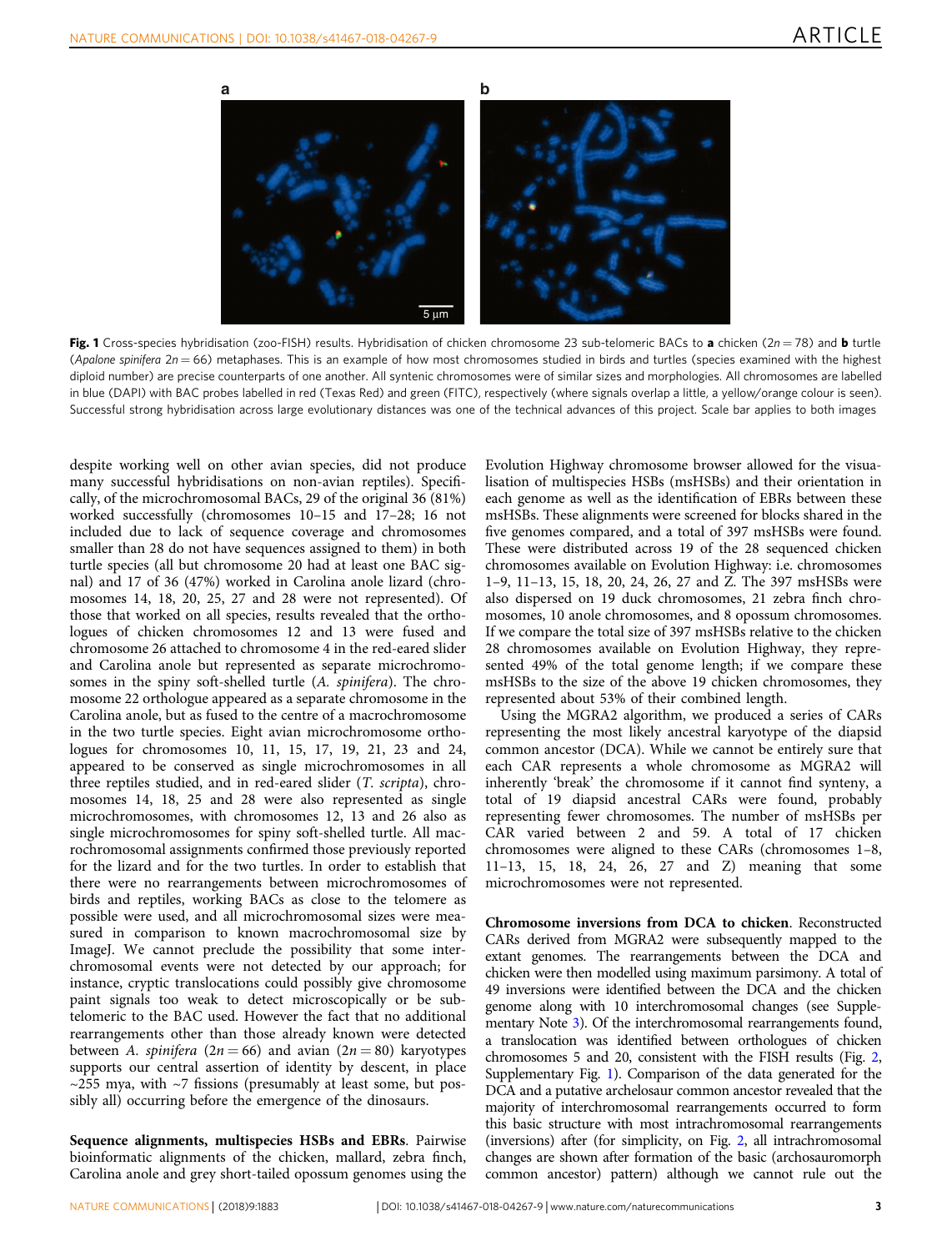<span id="page-3-0"></span>

Fig. 1 Cross-species hybridisation (zoo-FISH) results. Hybridisation of chicken chromosome 23 sub-telomeric BACs to a chicken (2n = 78) and b turtle  $(Apalone spinifera 2n = 66)$  metaphases. This is an example of how most chromosomes studied in birds and turtles (species examined with the highest diploid number) are precise counterparts of one another. All syntenic chromosomes were of similar sizes and morphologies. All chromosomes are labelled in blue (DAPI) with BAC probes labelled in red (Texas Red) and green (FITC), respectively (where signals overlap a little, a yellow/orange colour is seen). Successful strong hybridisation across large evolutionary distances was one of the technical advances of this project. Scale bar applies to both images

despite working well on other avian species, did not produce many successful hybridisations on non-avian reptiles). Specifically, of the microchromosomal BACs, 29 of the original 36 (81%) worked successfully (chromosomes 10–15 and 17–28; 16 not included due to lack of sequence coverage and chromosomes smaller than 28 do not have sequences assigned to them) in both turtle species (all but chromosome 20 had at least one BAC signal) and 17 of 36 (47%) worked in Carolina anole lizard (chromosomes 14, 18, 20, 25, 27 and 28 were not represented). Of those that worked on all species, results revealed that the orthologues of chicken chromosomes 12 and 13 were fused and chromosome 26 attached to chromosome 4 in the red-eared slider and Carolina anole but represented as separate microchromosomes in the spiny soft-shelled turtle (A. spinifera). The chromosome 22 orthologue appeared as a separate chromosome in the Carolina anole, but as fused to the centre of a macrochromosome in the two turtle species. Eight avian microchromosome orthologues for chromosomes 10, 11, 15, 17, 19, 21, 23 and 24, appeared to be conserved as single microchromosomes in all three reptiles studied, and in red-eared slider (T. scripta), chromosomes 14, 18, 25 and 28 were also represented as single microchromosomes, with chromosomes 12, 13 and 26 also as single microchromosomes for spiny soft-shelled turtle. All macrochromosomal assignments confirmed those previously reported for the lizard and for the two turtles. In order to establish that there were no rearrangements between microchromosomes of birds and reptiles, working BACs as close to the telomere as possible were used, and all microchromosomal sizes were measured in comparison to known macrochromosomal size by ImageJ. We cannot preclude the possibility that some interchromosomal events were not detected by our approach; for instance, cryptic translocations could possibly give chromosome paint signals too weak to detect microscopically or be subtelomeric to the BAC used. However the fact that no additional rearrangements other than those already known were detected between A. spinifera (2n = 66) and avian (2n = 80) karyotypes supports our central assertion of identity by descent, in place  $\sim$ 255 mya, with  $\sim$ 7 fissions (presumably at least some, but possibly all) occurring before the emergence of the dinosaurs.

Sequence alignments, multispecies HSBs and EBRs. Pairwise bioinformatic alignments of the chicken, mallard, zebra finch, Carolina anole and grey short-tailed opossum genomes using the Evolution Highway chromosome browser allowed for the visualisation of multispecies HSBs (msHSBs) and their orientation in each genome as well as the identification of EBRs between these msHSBs. These alignments were screened for blocks shared in the five genomes compared, and a total of 397 msHSBs were found. These were distributed across 19 of the 28 sequenced chicken chromosomes available on Evolution Highway: i.e. chromosomes 1–9, 11–13, 15, 18, 20, 24, 26, 27 and Z. The 397 msHSBs were also dispersed on 19 duck chromosomes, 21 zebra finch chromosomes, 10 anole chromosomes, and 8 opossum chromosomes. If we compare the total size of 397 msHSBs relative to the chicken 28 chromosomes available on Evolution Highway, they represented 49% of the total genome length; if we compare these msHSBs to the size of the above 19 chicken chromosomes, they represented about 53% of their combined length.

Using the MGRA2 algorithm, we produced a series of CARs representing the most likely ancestral karyotype of the diapsid common ancestor (DCA). While we cannot be entirely sure that each CAR represents a whole chromosome as MGRA2 will inherently 'break' the chromosome if it cannot find synteny, a total of 19 diapsid ancestral CARs were found, probably representing fewer chromosomes. The number of msHSBs per CAR varied between 2 and 59. A total of 17 chicken chromosomes were aligned to these CARs (chromosomes 1–8, 11–13, 15, 18, 24, 26, 27 and Z) meaning that some microchromosomes were not represented.

Chromosome inversions from DCA to chicken. Reconstructed CARs derived from MGRA2 were subsequently mapped to the extant genomes. The rearrangements between the DCA and chicken were then modelled using maximum parsimony. A total of 49 inversions were identified between the DCA and the chicken genome along with 10 interchromosomal changes (see Supplementary Note 3). Of the interchromosomal rearrangements found, a translocation was identified between orthologues of chicken chromosomes 5 and 20, consistent with the FISH results (Fig. 2, Supplementary Fig. 1). Comparison of the data generated for the DCA and a putative archelosaur common ancestor revealed that the majority of interchromosomal rearrangements occurred to form this basic structure with most intrachromosomal rearrangements (inversions) after (for simplicity, on Fig. 2, all intrachromosomal changes are shown after formation of the basic (archosauromorph common ancestor) pattern) although we cannot rule out the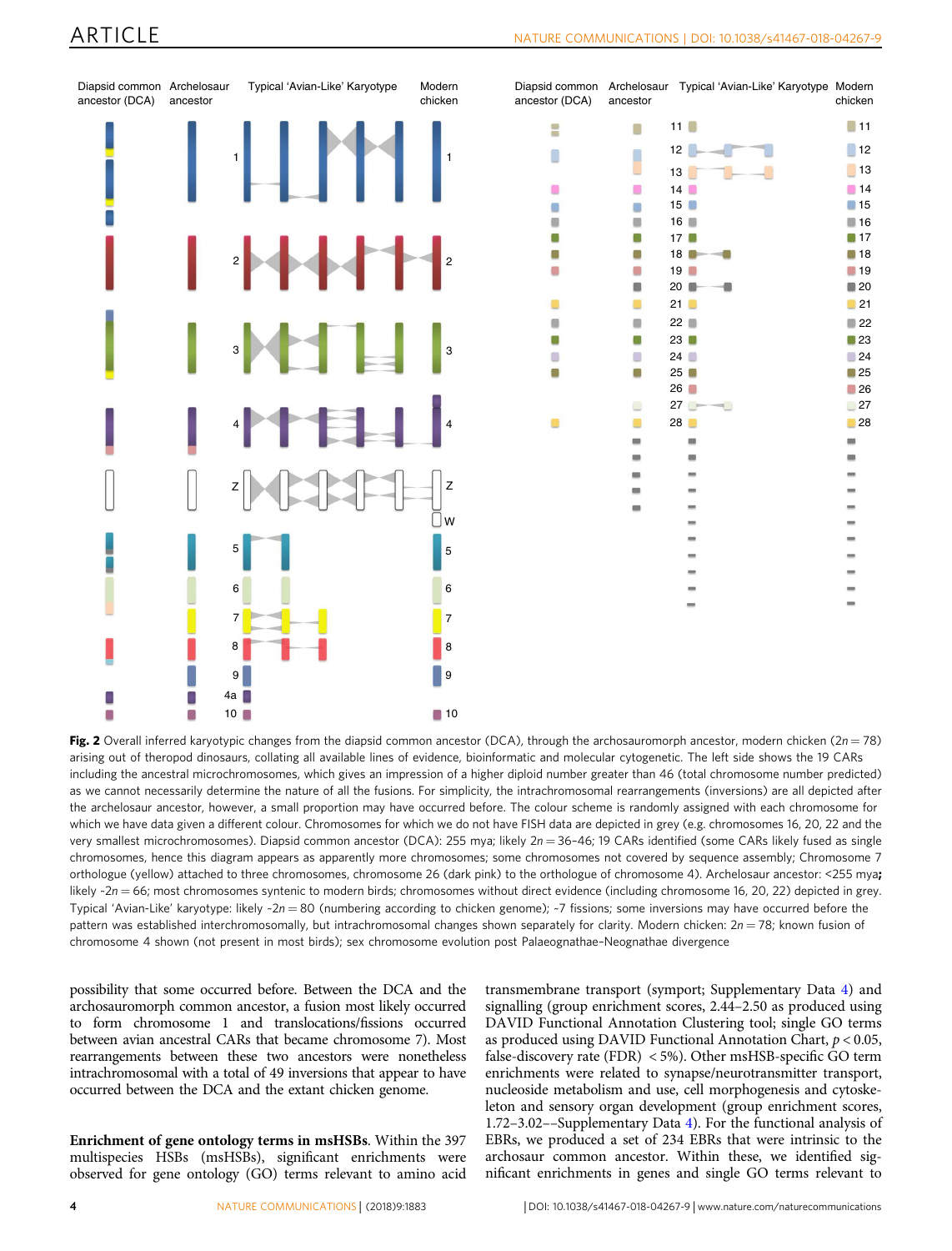<span id="page-4-0"></span>

Diapsid common Archelosaur Typical 'Avian-Like' Karyotype Modern ancestor (DCA) ancestor chicken



Fig. 2 Overall inferred karyotypic changes from the diapsid common ancestor (DCA), through the archosauromorph ancestor, modern chicken ( $2n = 78$ ) arising out of theropod dinosaurs, collating all available lines of evidence, bioinformatic and molecular cytogenetic. The left side shows the 19 CARs including the ancestral microchromosomes, which gives an impression of a higher diploid number greater than 46 (total chromosome number predicted) as we cannot necessarily determine the nature of all the fusions. For simplicity, the intrachromosomal rearrangements (inversions) are all depicted after the archelosaur ancestor, however, a small proportion may have occurred before. The colour scheme is randomly assigned with each chromosome for which we have data given a different colour. Chromosomes for which we do not have FISH data are depicted in grey (e.g. chromosomes 16, 20, 22 and the very smallest microchromosomes). Diapsid common ancestor (DCA): 255 mya; likely 2n = 36-46; 19 CARs identified (some CARs likely fused as single chromosomes, hence this diagram appears as apparently more chromosomes; some chromosomes not covered by sequence assembly; Chromosome 7 orthologue (yellow) attached to three chromosomes, chromosome 26 (dark pink) to the orthologue of chromosome 4). Archelosaur ancestor: <255 mya; likely -2n = 66; most chromosomes syntenic to modern birds; chromosomes without direct evidence (including chromosome 16, 20, 22) depicted in grey. Typical 'Avian-Like' karyotype: likely  $-2n = 80$  (numbering according to chicken genome);  $-7$  fissions; some inversions may have occurred before the pattern was established interchromosomally, but intrachromosomal changes shown separately for clarity. Modern chicken:  $2n = 78$ ; known fusion of chromosome 4 shown (not present in most birds); sex chromosome evolution post Palaeognathae–Neognathae divergence

possibility that some occurred before. Between the DCA and the archosauromorph common ancestor, a fusion most likely occurred to form chromosome 1 and translocations/fissions occurred between avian ancestral CARs that became chromosome 7). Most rearrangements between these two ancestors were nonetheless intrachromosomal with a total of 49 inversions that appear to have occurred between the DCA and the extant chicken genome.

Enrichment of gene ontology terms in msHSBs. Within the 397 multispecies HSBs (msHSBs), significant enrichments were observed for gene ontology (GO) terms relevant to amino acid

transmembrane transport (symport; Supplementary Data 4) and signalling (group enrichment scores, 2.44–2.50 as produced using DAVID Functional Annotation Clustering tool; single GO terms as produced using DAVID Functional Annotation Chart,  $p < 0.05$ , false-discovery rate (FDR) < 5%). Other msHSB-specific GO term enrichments were related to synapse/neurotransmitter transport, nucleoside metabolism and use, cell morphogenesis and cytoskeleton and sensory organ development (group enrichment scores, 1.72–3.02––Supplementary Data 4). For the functional analysis of EBRs, we produced a set of 234 EBRs that were intrinsic to the archosaur common ancestor. Within these, we identified significant enrichments in genes and single GO terms relevant to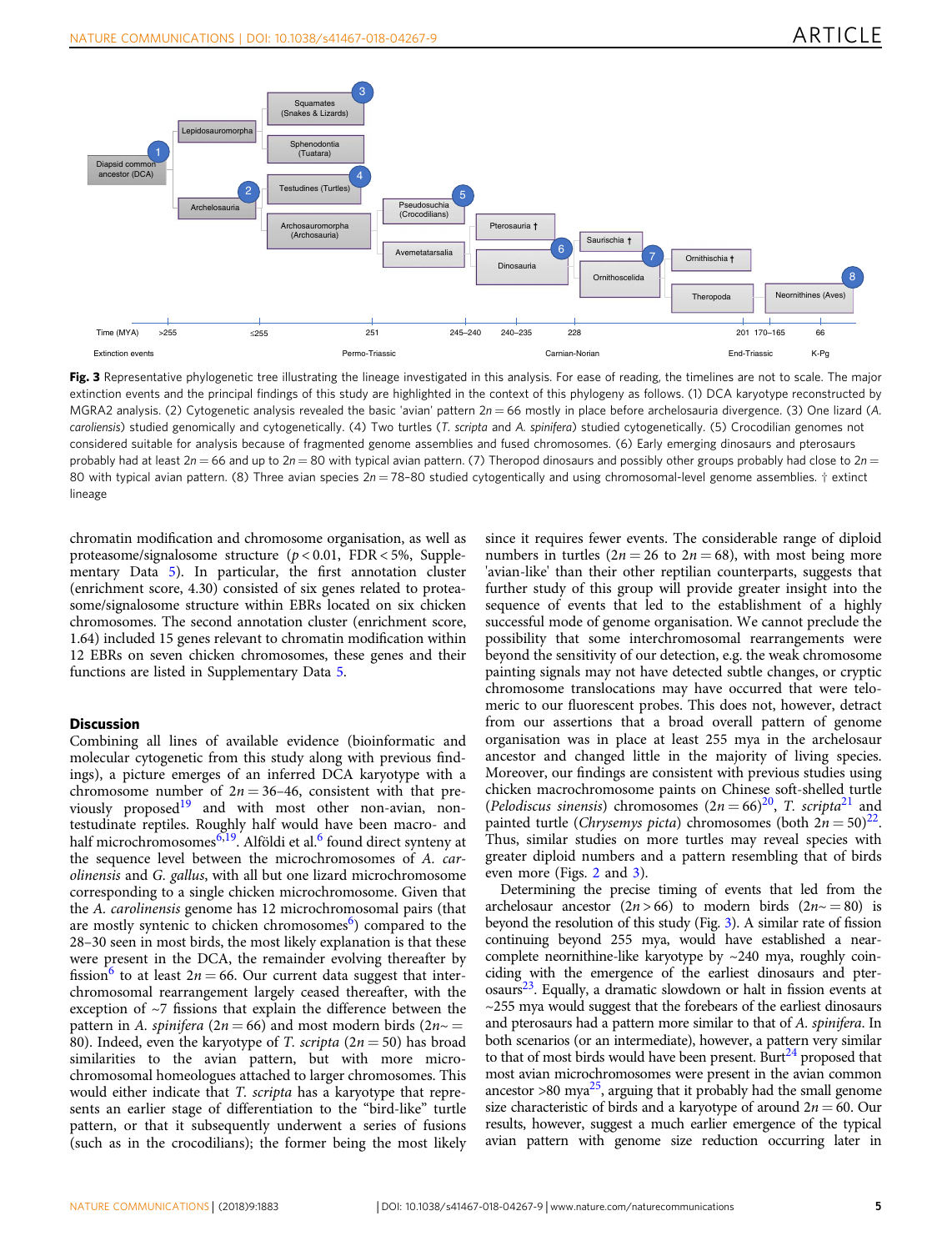

Fig. 3 Representative phylogenetic tree illustrating the lineage investigated in this analysis. For ease of reading, the timelines are not to scale. The major extinction events and the principal findings of this study are highlighted in the context of this phylogeny as follows. (1) DCA karyotype reconstructed by MGRA2 analysis. (2) Cytogenetic analysis revealed the basic 'avian' pattern  $2n = 66$  mostly in place before archelosauria divergence. (3) One lizard (A. caroliensis) studied genomically and cytogenetically. (4) Two turtles (T. scripta and A. spinifera) studied cytogenetically. (5) Crocodilian genomes not considered suitable for analysis because of fragmented genome assemblies and fused chromosomes. (6) Early emerging dinosaurs and pterosaurs probably had at least  $2n = 66$  and up to  $2n = 80$  with typical avian pattern. (7) Theropod dinosaurs and possibly other groups probably had close to  $2n =$ 80 with typical avian pattern. (8) Three avian species  $2n = 78-80$  studied cytogentically and using chromosomal-level genome assemblies.  $\dagger$  extinct lineage

chromatin modification and chromosome organisation, as well as proteasome/signalosome structure  $(p < 0.01, FDR < 5\%$ , Supplementary Data 5). In particular, the first annotation cluster (enrichment score, 4.30) consisted of six genes related to proteasome/signalosome structure within EBRs located on six chicken chromosomes. The second annotation cluster (enrichment score, 1.64) included 15 genes relevant to chromatin modification within 12 EBRs on seven chicken chromosomes, these genes and their functions are listed in Supplementary Data 5.

### **Discussion**

Combining all lines of available evidence (bioinformatic and molecular cytogenetic from this study along with previous findings), a picture emerges of an inferred DCA karyotype with a chromosome number of  $2n = 36-46$ , consistent with that previously proposed $19$  and with most other non-avian, nontestudinate reptiles. Roughly half would have been macro- and half microchromosomes<sup>[6,19](#page-7-0)</sup>. Alföldi et al.<sup>[6](#page-7-0)</sup> found direct synteny at the sequence level between the microchromosomes of A. carolinensis and G. gallus, with all but one lizard microchromosome corresponding to a single chicken microchromosome. Given that the A. carolinensis genome has 12 microchromosomal pairs (that are mostly syntenic to chicken chromosomes<sup>[6](#page-7-0)</sup>) compared to the 28–30 seen in most birds, the most likely explanation is that these were present in the DCA, the remainder evolving thereafter by fission<sup>[6](#page-7-0)</sup> to at least 2*n* = 66. Our current data suggest that interchromosomal rearrangement largely ceased thereafter, with the exception of  $~1$  fissions that explain the difference between the pattern in A. spinifera (2n = 66) and most modern birds (2n  $\sim$  = 80). Indeed, even the karyotype of T. scripta ( $2n = 50$ ) has broad similarities to the avian pattern, but with more microchromosomal homeologues attached to larger chromosomes. This would either indicate that T. scripta has a karyotype that represents an earlier stage of differentiation to the "bird-like" turtle pattern, or that it subsequently underwent a series of fusions (such as in the crocodilians); the former being the most likely

since it requires fewer events. The considerable range of diploid numbers in turtles ( $2n = 26$  to  $2n = 68$ ), with most being more 'avian-like' than their other reptilian counterparts, suggests that further study of this group will provide greater insight into the sequence of events that led to the establishment of a highly successful mode of genome organisation. We cannot preclude the possibility that some interchromosomal rearrangements were beyond the sensitivity of our detection, e.g. the weak chromosome painting signals may not have detected subtle changes, or cryptic chromosome translocations may have occurred that were telomeric to our fluorescent probes. This does not, however, detract from our assertions that a broad overall pattern of genome organisation was in place at least 255 mya in the archelosaur ancestor and changed little in the majority of living species. Moreover, our findings are consistent with previous studies using chicken macrochromosome paints on Chinese soft-shelled turtle (Pelodiscus sinensis) chromosomes  $(2n = 66)^{20}$  $(2n = 66)^{20}$  $(2n = 66)^{20}$ , T. scripta<sup>[21](#page-7-0)</sup> and painted turtle (*Chrysemys picta*) chromosomes (both  $2n = 50)^{22}$  $2n = 50)^{22}$  $2n = 50)^{22}$ . Thus, similar studies on more turtles may reveal species with greater diploid numbers and a pattern resembling that of birds even more (Figs. [2](#page-3-0) and [3](#page-4-0)).

Determining the precise timing of events that led from the archelosaur ancestor (2n > 66) to modern birds (2n  $\approx$  = 80) is beyond the resolution of this study (Fig. [3\)](#page-4-0). A similar rate of fission continuing beyond 255 mya, would have established a nearcomplete neornithine-like karyotype by ~240 mya, roughly coinciding with the emergence of the earliest dinosaurs and pter-osaurs<sup>[23](#page-7-0)</sup>. Equally, a dramatic slowdown or halt in fission events at  $\sim$ 255 mya would suggest that the forebears of the earliest dinosaurs and pterosaurs had a pattern more similar to that of A. spinifera. In both scenarios (or an intermediate), however, a pattern very similar to that of most birds would have been present. Burt<sup>[24](#page-7-0)</sup> proposed that most avian microchromosomes were present in the avian common ancestor  $>80$  mya<sup>[25](#page-7-0)</sup>, arguing that it probably had the small genome size characteristic of birds and a karyotype of around  $2n = 60$ . Our results, however, suggest a much earlier emergence of the typical avian pattern with genome size reduction occurring later in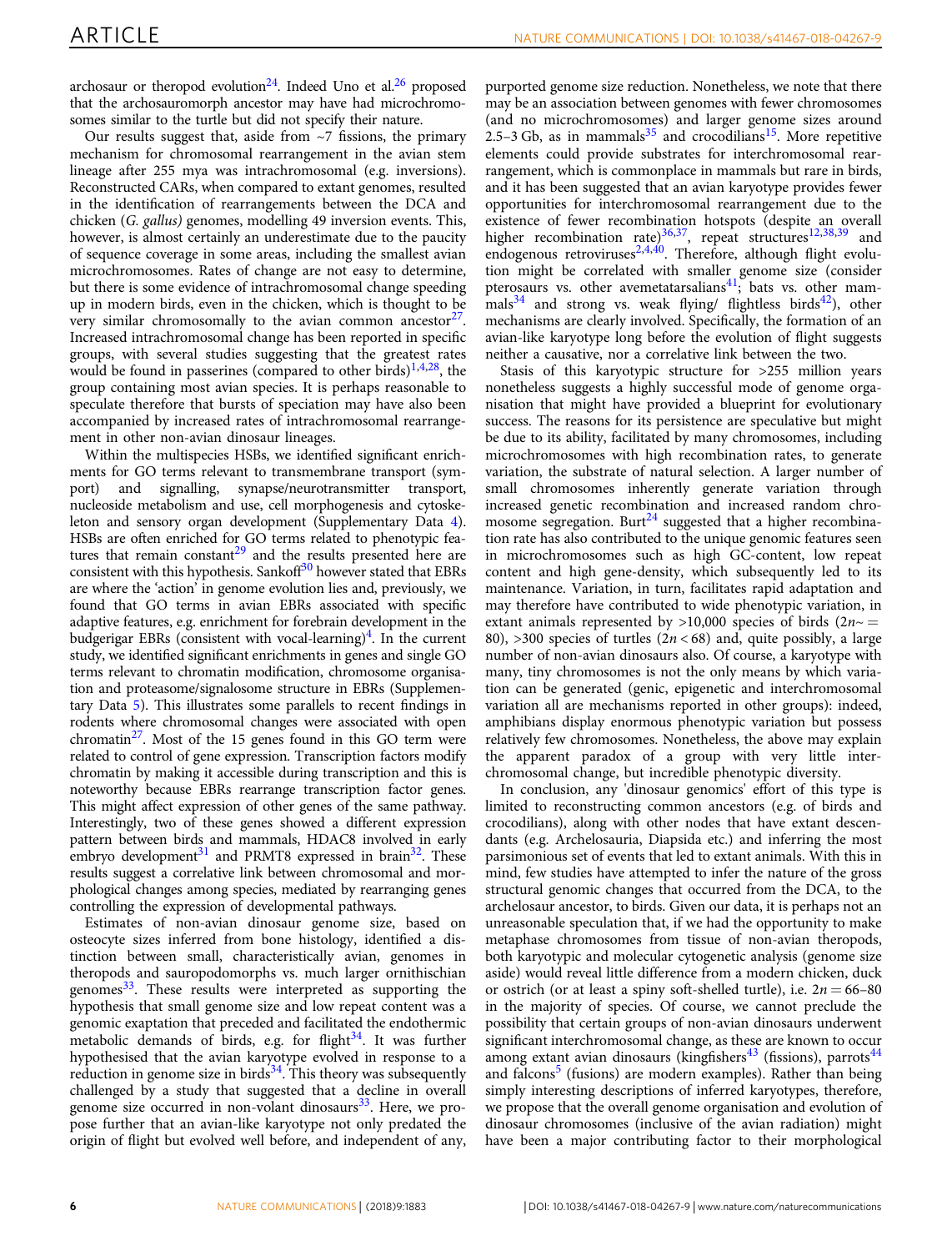archosaur or theropod evolution<sup>[24](#page-7-0)</sup>. Indeed Uno et al.<sup>[26](#page-7-0)</sup> proposed that the archosauromorph ancestor may have had microchromosomes similar to the turtle but did not specify their nature.

Our results suggest that, aside from  $\sim$ 7 fissions, the primary mechanism for chromosomal rearrangement in the avian stem lineage after 255 mya was intrachromosomal (e.g. inversions). Reconstructed CARs, when compared to extant genomes, resulted in the identification of rearrangements between the DCA and chicken (G. gallus) genomes, modelling 49 inversion events. This, however, is almost certainly an underestimate due to the paucity of sequence coverage in some areas, including the smallest avian microchromosomes. Rates of change are not easy to determine, but there is some evidence of intrachromosomal change speeding up in modern birds, even in the chicken, which is thought to be very similar chromosomally to the avian common ancestor $27$ . Increased intrachromosomal change has been reported in specific groups, with several studies suggesting that the greatest rates would be found in passerines (compared to other birds) $1,4,28$  $1,4,28$  $1,4,28$ , the group containing most avian species. It is perhaps reasonable to speculate therefore that bursts of speciation may have also been accompanied by increased rates of intrachromosomal rearrangement in other non-avian dinosaur lineages.

Within the multispecies HSBs, we identified significant enrichments for GO terms relevant to transmembrane transport (symport) and signalling, synapse/neurotransmitter transport, nucleoside metabolism and use, cell morphogenesis and cytoskeleton and sensory organ development (Supplementary Data 4). HSBs are often enriched for GO terms related to phenotypic fea-tures that remain constant<sup>[29](#page-7-0)</sup> and the results presented here are consistent with this hypothesis. Sankoff $30$  however stated that EBRs are where the 'action' in genome evolution lies and, previously, we found that GO terms in avian EBRs associated with specific adaptive features, e.g. enrichment for forebrain development in the budgerigar EBRs (consistent with vocal-learning)<sup>[4](#page-7-0)</sup>. In the current study, we identified significant enrichments in genes and single GO terms relevant to chromatin modification, chromosome organisation and proteasome/signalosome structure in EBRs (Supplementary Data 5). This illustrates some parallels to recent findings in rodents where chromosomal changes were associated with open chromatin $27$ . Most of the 15 genes found in this GO term were related to control of gene expression. Transcription factors modify chromatin by making it accessible during transcription and this is noteworthy because EBRs rearrange transcription factor genes. This might affect expression of other genes of the same pathway. Interestingly, two of these genes showed a different expression pattern between birds and mammals, HDAC8 involved in early embryo development<sup>[31](#page-7-0)</sup> and PRMT8 expressed in brain<sup>[32](#page-7-0)</sup>. These results suggest a correlative link between chromosomal and morphological changes among species, mediated by rearranging genes controlling the expression of developmental pathways.

Estimates of non-avian dinosaur genome size, based on osteocyte sizes inferred from bone histology, identified a distinction between small, characteristically avian, genomes in theropods and sauropodomorphs vs. much larger ornithischian genomes $33$ . These results were interpreted as supporting the hypothesis that small genome size and low repeat content was a genomic exaptation that preceded and facilitated the endothermic metabolic demands of birds, e.g. for flight<sup>[34](#page-7-0)</sup>. It was further hypothesised that the avian karyotype evolved in response to a reduction in genome size in birds<sup>[34](#page-7-0)</sup>. This theory was subsequently challenged by a study that suggested that a decline in overall genome size occurred in non-volant dinosaurs<sup>[33](#page-7-0)</sup>. Here, we propose further that an avian-like karyotype not only predated the origin of flight but evolved well before, and independent of any,

purported genome size reduction. Nonetheless, we note that there may be an association between genomes with fewer chromosomes (and no microchromosomes) and larger genome sizes around 2.5–3 Gb, as in mammals $35$  and crocodilians<sup>[15](#page-7-0)</sup>. More repetitive elements could provide substrates for interchromosomal rearrangement, which is commonplace in mammals but rare in birds, and it has been suggested that an avian karyotype provides fewer opportunities for interchromosomal rearrangement due to the existence of fewer recombination hotspots (despite an overall higher recombination rate)<sup>[36](#page-7-0),[37](#page-7-0)</sup>, repeat structures<sup>[12](#page-7-0),[38](#page-7-0),[39](#page-7-0)</sup> and endogenous retroviruses<sup>[2,4,40](#page-7-0)</sup>. Therefore, although flight evolution might be correlated with smaller genome size (consider pterosaurs vs. other avemetatarsalians $41$ ; bats vs. other mam- $mals<sup>34</sup>$  $mals<sup>34</sup>$  $mals<sup>34</sup>$  and strong vs. weak flying/ flightless birds<sup>[42](#page-7-0)</sup>), other mechanisms are clearly involved. Specifically, the formation of an avian-like karyotype long before the evolution of flight suggests neither a causative, nor a correlative link between the two.

Stasis of this karyotypic structure for >255 million years nonetheless suggests a highly successful mode of genome organisation that might have provided a blueprint for evolutionary success. The reasons for its persistence are speculative but might be due to its ability, facilitated by many chromosomes, including microchromosomes with high recombination rates, to generate variation, the substrate of natural selection. A larger number of small chromosomes inherently generate variation through increased genetic recombination and increased random chro-mosome segregation. Burt<sup>[24](#page-7-0)</sup> suggested that a higher recombination rate has also contributed to the unique genomic features seen in microchromosomes such as high GC-content, low repeat content and high gene-density, which subsequently led to its maintenance. Variation, in turn, facilitates rapid adaptation and may therefore have contributed to wide phenotypic variation, in extant animals represented by >10,000 species of birds ( $2n \sim$  = 80), >300 species of turtles  $(2n < 68)$  and, quite possibly, a large number of non-avian dinosaurs also. Of course, a karyotype with many, tiny chromosomes is not the only means by which variation can be generated (genic, epigenetic and interchromosomal variation all are mechanisms reported in other groups): indeed, amphibians display enormous phenotypic variation but possess relatively few chromosomes. Nonetheless, the above may explain the apparent paradox of a group with very little interchromosomal change, but incredible phenotypic diversity.

In conclusion, any 'dinosaur genomics' effort of this type is limited to reconstructing common ancestors (e.g. of birds and crocodilians), along with other nodes that have extant descendants (e.g. Archelosauria, Diapsida etc.) and inferring the most parsimonious set of events that led to extant animals. With this in mind, few studies have attempted to infer the nature of the gross structural genomic changes that occurred from the DCA, to the archelosaur ancestor, to birds. Given our data, it is perhaps not an unreasonable speculation that, if we had the opportunity to make metaphase chromosomes from tissue of non-avian theropods, both karyotypic and molecular cytogenetic analysis (genome size aside) would reveal little difference from a modern chicken, duck or ostrich (or at least a spiny soft-shelled turtle), i.e.  $2n = 66-80$ in the majority of species. Of course, we cannot preclude the possibility that certain groups of non-avian dinosaurs underwent significant interchromosomal change, as these are known to occur among extant avian dinosaurs (kingfishers $43$  (fissions), parrots $44$ and falcons<sup>[5](#page-7-0)</sup> (fusions) are modern examples). Rather than being simply interesting descriptions of inferred karyotypes, therefore, we propose that the overall genome organisation and evolution of dinosaur chromosomes (inclusive of the avian radiation) might have been a major contributing factor to their morphological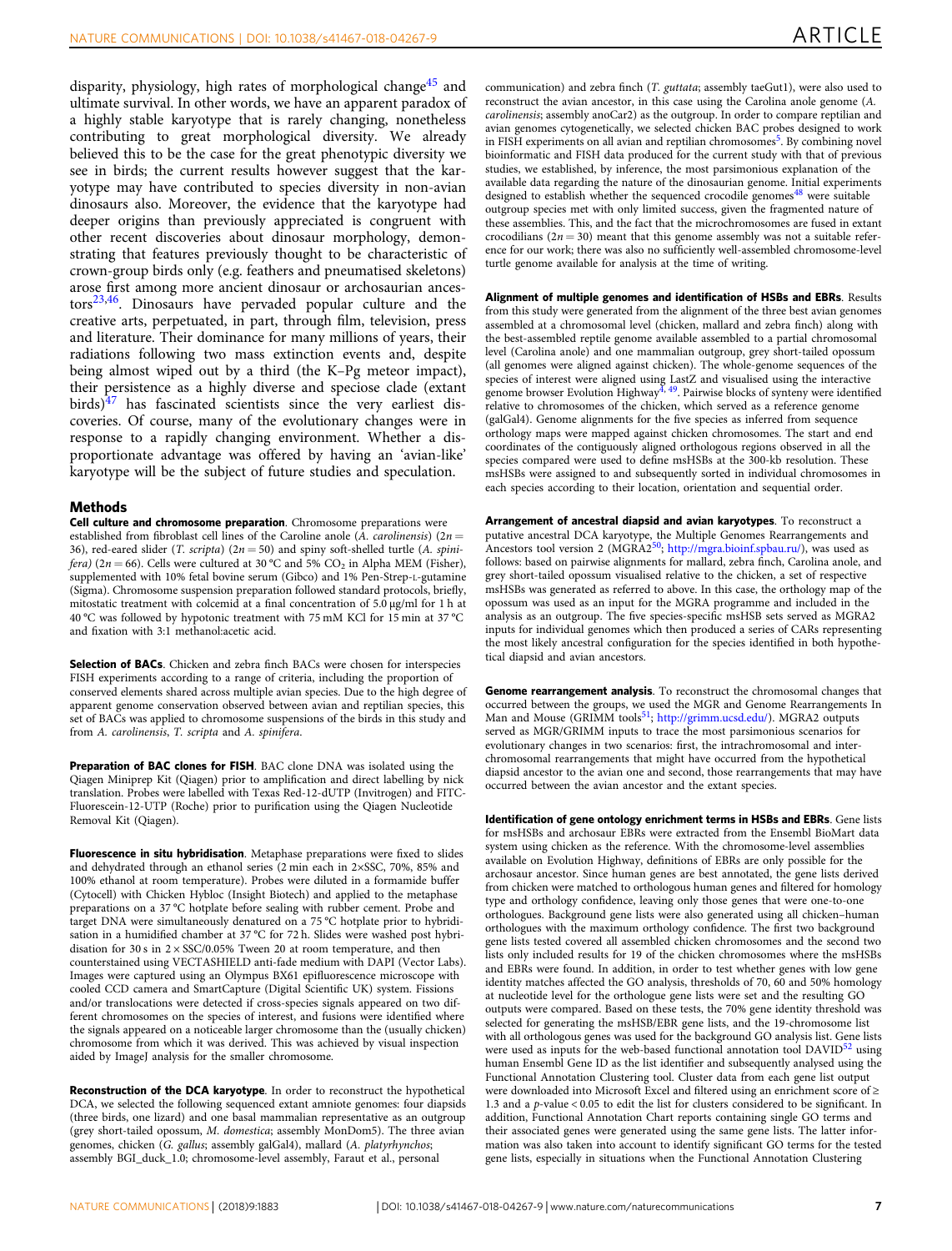<span id="page-7-0"></span>disparity, physiology, high rates of morphological change<sup>45</sup> and ultimate survival. In other words, we have an apparent paradox of a highly stable karyotype that is rarely changing, nonetheless contributing to great morphological diversity. We already believed this to be the case for the great phenotypic diversity we see in birds; the current results however suggest that the karyotype may have contributed to species diversity in non-avian dinosaurs also. Moreover, the evidence that the karyotype had deeper origins than previously appreciated is congruent with other recent discoveries about dinosaur morphology, demonstrating that features previously thought to be characteristic of crown-group birds only (e.g. feathers and pneumatised skeletons) arose first among more ancient dinosaur or archosaurian ances- $\arccos^{23,46}$ . Dinosaurs have pervaded popular culture and the creative arts, perpetuated, in part, through film, television, press and literature. Their dominance for many millions of years, their radiations following two mass extinction events and, despite being almost wiped out by a third (the K–Pg meteor impact), their persistence as a highly diverse and speciose clade (extant  $\frac{1}{47}$  has fascinated scientists since the very earliest discoveries. Of course, many of the evolutionary changes were in response to a rapidly changing environment. Whether a disproportionate advantage was offered by having an 'avian-like' karyotype will be the subject of future studies and speculation.

### Methods

Cell culture and chromosome preparation. Chromosome preparations were established from fibroblast cell lines of the Caroline anole (A. carolinensis) ( $2n =$ 36), red-eared slider (*T. scripta*) ( $2n = 50$ ) and spiny soft-shelled turtle (*A. spinifera*) (2*n* = 66). Cells were cultured at 30 °C and 5% CO<sub>2</sub> in Alpha MEM (Fisher), supplemented with 10% fetal bovine serum (Gibco) and 1% Pen-Strep-L-gutamine (Sigma). Chromosome suspension preparation followed standard protocols, briefly, mitostatic treatment with colcemid at a final concentration of 5.0 μg/ml for 1 h at 40 °C was followed by hypotonic treatment with 75 mM KCl for 15 min at 37 °C and fixation with 3:1 methanol:acetic acid.

Selection of BACs. Chicken and zebra finch BACs were chosen for interspecies FISH experiments according to a range of criteria, including the proportion of conserved elements shared across multiple avian species. Due to the high degree of apparent genome conservation observed between avian and reptilian species, this set of BACs was applied to chromosome suspensions of the birds in this study and from A. carolinensis, T. scripta and A. spinifera.

Preparation of BAC clones for FISH. BAC clone DNA was isolated using the Qiagen Miniprep Kit (Qiagen) prior to amplification and direct labelling by nick translation. Probes were labelled with Texas Red-12-dUTP (Invitrogen) and FITC-Fluorescein-12-UTP (Roche) prior to purification using the Qiagen Nucleotide Removal Kit (Qiagen).

Fluorescence in situ hybridisation. Metaphase preparations were fixed to slides and dehydrated through an ethanol series (2 min each in 2×SSC, 70%, 85% and 100% ethanol at room temperature). Probes were diluted in a formamide buffer (Cytocell) with Chicken Hybloc (Insight Biotech) and applied to the metaphase preparations on a 37 °C hotplate before sealing with rubber cement. Probe and target DNA were simultaneously denatured on a 75 °C hotplate prior to hybridisation in a humidified chamber at 37 °C for 72 h. Slides were washed post hybridisation for 30 s in  $2 \times$  SSC/0.05% Tween 20 at room temperature, and then counterstained using VECTASHIELD anti-fade medium with DAPI (Vector Labs). Images were captured using an Olympus BX61 epifluorescence microscope with cooled CCD camera and SmartCapture (Digital Scientific UK) system. Fissions and/or translocations were detected if cross-species signals appeared on two different chromosomes on the species of interest, and fusions were identified where the signals appeared on a noticeable larger chromosome than the (usually chicken) chromosome from which it was derived. This was achieved by visual inspection aided by ImageJ analysis for the smaller chromosome.

Reconstruction of the DCA karyotype. In order to reconstruct the hypothetical DCA, we selected the following sequenced extant amniote genomes: four diapsids (three birds, one lizard) and one basal mammalian representative as an outgroup (grey short-tailed opossum, M. domestica; assembly MonDom5). The three avian genomes, chicken (G. gallus; assembly galGal4), mallard (A. platyrhynchos; assembly BGI\_duck\_1.0; chromosome-level assembly, Faraut et al., personal

communication) and zebra finch (T. guttata; assembly taeGut1), were also used to reconstruct the avian ancestor, in this case using the Carolina anole genome (A. carolinensis; assembly anoCar2) as the outgroup. In order to compare reptilian and avian genomes cytogenetically, we selected chicken BAC probes designed to work in FISH experiments on all avian and reptilian chromosomes<sup>5</sup>. By combining novel bioinformatic and FISH data produced for the current study with that of previous studies, we established, by inference, the most parsimonious explanation of the available data regarding the nature of the dinosaurian genome. Initial experiments designed to establish whether the sequenced crocodile genomes<sup>48</sup> were suitable outgroup species met with only limited success, given the fragmented nature of these assemblies. This, and the fact that the microchromosomes are fused in extant crocodilians ( $2n = 30$ ) meant that this genome assembly was not a suitable reference for our work; there was also no sufficiently well-assembled chromosome-level turtle genome available for analysis at the time of writing.

Alignment of multiple genomes and identification of HSBs and EBRs. Results from this study were generated from the alignment of the three best avian genomes assembled at a chromosomal level (chicken, mallard and zebra finch) along with the best-assembled reptile genome available assembled to a partial chromosomal level (Carolina anole) and one mammalian outgroup, grey short-tailed opossum (all genomes were aligned against chicken). The whole-genome sequences of the species of interest were aligned using LastZ and visualised using the interactive<br>genome browser Evolution Highway<sup>4, 49</sup>. Pairwise blocks of synteny were identified relative to chromosomes of the chicken, which served as a reference genome (galGal4). Genome alignments for the five species as inferred from sequence orthology maps were mapped against chicken chromosomes. The start and end coordinates of the contiguously aligned orthologous regions observed in all the species compared were used to define msHSBs at the 300-kb resolution. These msHSBs were assigned to and subsequently sorted in individual chromosomes in each species according to their location, orientation and sequential order.

Arrangement of ancestral diapsid and avian karyotypes. To reconstruct a putative ancestral DCA karyotype, the Multiple Genomes Rearrangements and Ancestors tool version 2 (MGRA2<sup>50</sup>; <http://mgra.bioinf.spbau.ru/>), was used as follows: based on pairwise alignments for mallard, zebra finch, Carolina anole, and grey short-tailed opossum visualised relative to the chicken, a set of respective msHSBs was generated as referred to above. In this case, the orthology map of the opossum was used as an input for the MGRA programme and included in the analysis as an outgroup. The five species-specific msHSB sets served as MGRA2 inputs for individual genomes which then produced a series of CARs representing the most likely ancestral configuration for the species identified in both hypothetical diapsid and avian ancestors.

Genome rearrangement analysis. To reconstruct the chromosomal changes that occurred between the groups, we used the MGR and Genome Rearrangements In Man and Mouse (GRIMM tools<sup>51</sup>; [http://grimm.ucsd.edu/\)](http://grimm.ucsd.edu/). MGRA2 outputs served as MGR/GRIMM inputs to trace the most parsimonious scenarios for evolutionary changes in two scenarios: first, the intrachromosomal and interchromosomal rearrangements that might have occurred from the hypothetical diapsid ancestor to the avian one and second, those rearrangements that may have occurred between the avian ancestor and the extant species.

Identification of gene ontology enrichment terms in HSBs and EBRs. Gene lists for msHSBs and archosaur EBRs were extracted from the Ensembl BioMart data system using chicken as the reference. With the chromosome-level assemblies available on Evolution Highway, definitions of EBRs are only possible for the archosaur ancestor. Since human genes are best annotated, the gene lists derived from chicken were matched to orthologous human genes and filtered for homology type and orthology confidence, leaving only those genes that were one-to-one orthologues. Background gene lists were also generated using all chicken–human orthologues with the maximum orthology confidence. The first two background gene lists tested covered all assembled chicken chromosomes and the second two lists only included results for 19 of the chicken chromosomes where the msHSBs and EBRs were found. In addition, in order to test whether genes with low gene identity matches affected the GO analysis, thresholds of 70, 60 and 50% homology at nucleotide level for the orthologue gene lists were set and the resulting GO outputs were compared. Based on these tests, the 70% gene identity threshold was selected for generating the msHSB/EBR gene lists, and the 19-chromosome list with all orthologous genes was used for the background GO analysis list. Gene lists were used as inputs for the web-based functional annotation tool DAVID<sup>52</sup> using human Ensembl Gene ID as the list identifier and subsequently analysed using the Functional Annotation Clustering tool. Cluster data from each gene list output were downloaded into Microsoft Excel and filtered using an enrichment score of ≥ 1.3 and a  $p$ -value < 0.05 to edit the list for clusters considered to be significant. In addition, Functional Annotation Chart reports containing single GO terms and their associated genes were generated using the same gene lists. The latter information was also taken into account to identify significant GO terms for the tested gene lists, especially in situations when the Functional Annotation Clustering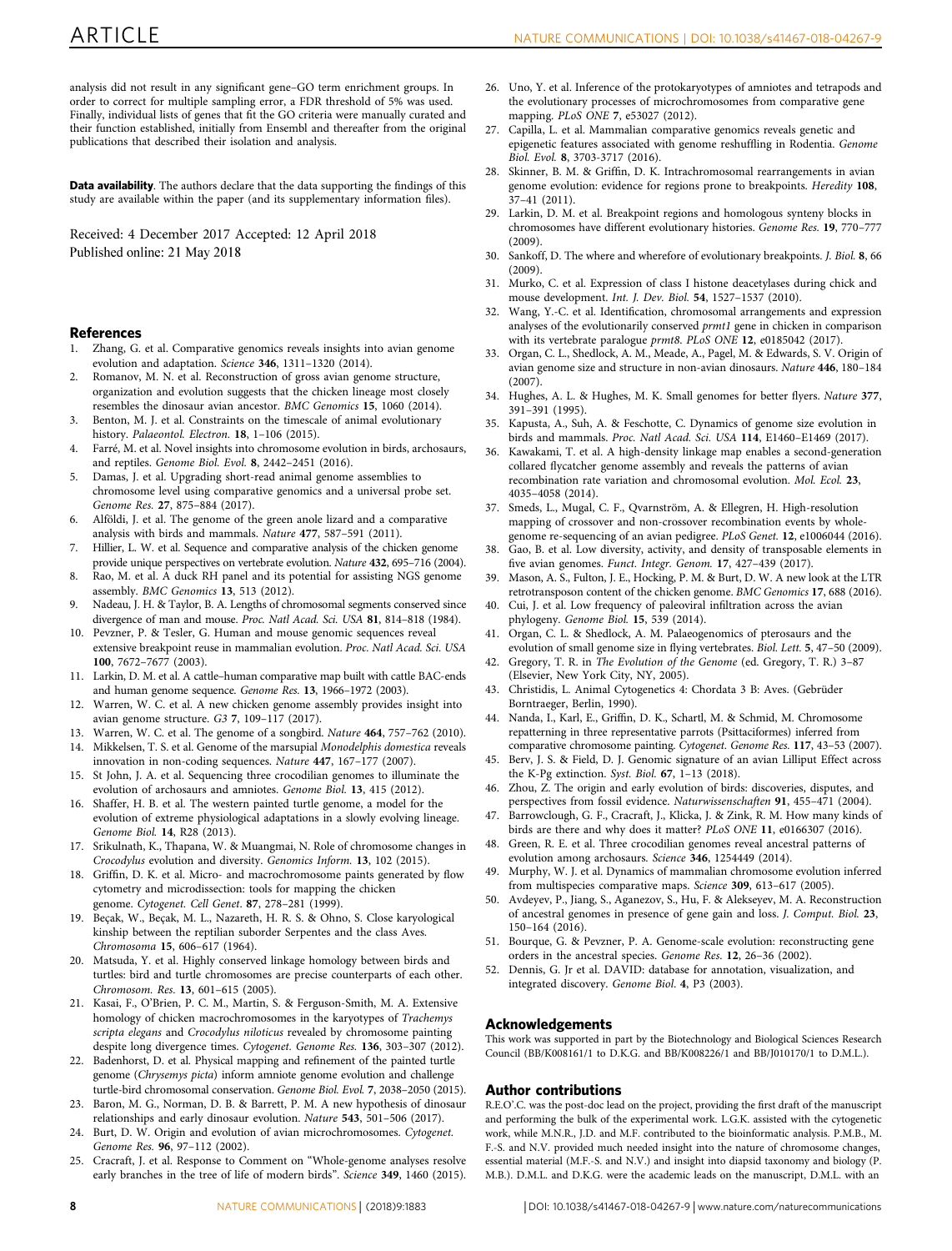analysis did not result in any significant gene–GO term enrichment groups. In order to correct for multiple sampling error, a FDR threshold of 5% was used. Finally, individual lists of genes that fit the GO criteria were manually curated and their function established, initially from Ensembl and thereafter from the original publications that described their isolation and analysis.

Data availability. The authors declare that the data supporting the findings of this study are available within the paper (and its supplementary information files).

Received: 4 December 2017 Accepted: 12 April 2018 Published online: 21 May 2018

### References

- 1. Zhang, G. et al. Comparative genomics reveals insights into avian genome evolution and adaptation. Science 346, 1311–1320 (2014).
- 2. Romanov, M. N. et al. Reconstruction of gross avian genome structure, organization and evolution suggests that the chicken lineage most closely resembles the dinosaur avian ancestor. BMC Genomics 15, 1060 (2014).
- 3. Benton, M. J. et al. Constraints on the timescale of animal evolutionary history. Palaeontol. Electron. 18, 1-106 (2015).
- 4. Farré, M. et al. Novel insights into chromosome evolution in birds, archosaurs, and reptiles. Genome Biol. Evol. 8, 2442–2451 (2016).
- 5. Damas, J. et al. Upgrading short-read animal genome assemblies to chromosome level using comparative genomics and a universal probe set. Genome Res. 27, 875–884 (2017).
- 6. Alföldi, J. et al. The genome of the green anole lizard and a comparative analysis with birds and mammals. Nature 477, 587–591 (2011).
- 7. Hillier, L. W. et al. Sequence and comparative analysis of the chicken genome provide unique perspectives on vertebrate evolution. Nature 432, 695–716 (2004).
- 8. Rao, M. et al. A duck RH panel and its potential for assisting NGS genome assembly. BMC Genomics 13, 513 (2012).
- 9. Nadeau, J. H. & Taylor, B. A. Lengths of chromosomal segments conserved since divergence of man and mouse. Proc. Natl Acad. Sci. USA 81, 814–818 (1984).
- 10. Pevzner, P. & Tesler, G. Human and mouse genomic sequences reveal extensive breakpoint reuse in mammalian evolution. Proc. Natl Acad. Sci. USA 100, 7672–7677 (2003).
- 11. Larkin, D. M. et al. A cattle–human comparative map built with cattle BAC-ends and human genome sequence. Genome Res. 13, 1966–1972 (2003).
- Warren, W. C. et al. A new chicken genome assembly provides insight into avian genome structure. G3 7, 109–117 (2017).
- 13. Warren, W. C. et al. The genome of a songbird. Nature 464, 757–762 (2010).
- 14. Mikkelsen, T. S. et al. Genome of the marsupial Monodelphis domestica reveals
- innovation in non-coding sequences. Nature 447, 167–177 (2007). 15. St John, J. A. et al. Sequencing three crocodilian genomes to illuminate the evolution of archosaurs and amniotes. Genome Biol. 13, 415 (2012).
- 16. Shaffer, H. B. et al. The western painted turtle genome, a model for the evolution of extreme physiological adaptations in a slowly evolving lineage. Genome Biol. 14, R28 (2013).
- 17. Srikulnath, K., Thapana, W. & Muangmai, N. Role of chromosome changes in Crocodylus evolution and diversity. Genomics Inform. 13, 102 (2015).
- Griffin, D. K. et al. Micro- and macrochromosome paints generated by flow cytometry and microdissection: tools for mapping the chicken genome. Cytogenet. Cell Genet. 87, 278–281 (1999).
- 19. Beçak, W., Beçak, M. L., Nazareth, H. R. S. & Ohno, S. Close karyological kinship between the reptilian suborder Serpentes and the class Aves. Chromosoma 15, 606–617 (1964).
- 20. Matsuda, Y. et al. Highly conserved linkage homology between birds and turtles: bird and turtle chromosomes are precise counterparts of each other. Chromosom. Res. 13, 601–615 (2005).
- 21. Kasai, F., O'Brien, P. C. M., Martin, S. & Ferguson-Smith, M. A. Extensive homology of chicken macrochromosomes in the karyotypes of Trachemys scripta elegans and Crocodylus niloticus revealed by chromosome painting despite long divergence times. Cytogenet. Genome Res. 136, 303–307 (2012).
- 22. Badenhorst, D. et al. Physical mapping and refinement of the painted turtle genome (Chrysemys picta) inform amniote genome evolution and challenge turtle-bird chromosomal conservation. Genome Biol. Evol. 7, 2038–2050 (2015).
- 23. Baron, M. G., Norman, D. B. & Barrett, P. M. A new hypothesis of dinosaur relationships and early dinosaur evolution. Nature 543, 501–506 (2017).
- 24. Burt, D. W. Origin and evolution of avian microchromosomes. Cytogenet. Genome Res. 96, 97–112 (2002).
- 25. Cracraft, J. et al. Response to Comment on "Whole-genome analyses resolve early branches in the tree of life of modern birds". Science 349, 1460 (2015).
- 26. Uno, Y. et al. Inference of the protokaryotypes of amniotes and tetrapods and the evolutionary processes of microchromosomes from comparative gene mapping. PLoS ONE 7, e53027 (2012).
- 27. Capilla, L. et al. Mammalian comparative genomics reveals genetic and epigenetic features associated with genome reshuffling in Rodentia. Genome Biol. Evol. 8, 3703-3717 (2016).
- 28. Skinner, B. M. & Griffin, D. K. Intrachromosomal rearrangements in avian genome evolution: evidence for regions prone to breakpoints. Heredity 108, 37–41 (2011).
- 29. Larkin, D. M. et al. Breakpoint regions and homologous synteny blocks in chromosomes have different evolutionary histories. Genome Res. 19, 770–777  $(2009)$
- 30. Sankoff, D. The where and wherefore of evolutionary breakpoints. J. Biol. 8, 66  $(2009)$
- 31. Murko, C. et al. Expression of class I histone deacetylases during chick and mouse development. Int. J. Dev. Biol. 54, 1527–1537 (2010).
- 32. Wang, Y.-C. et al. Identification, chromosomal arrangements and expression analyses of the evolutionarily conserved prmt1 gene in chicken in comparison with its vertebrate paralogue prmt8. PLoS ONE 12, e0185042 (2017)
- 33. Organ, C. L., Shedlock, A. M., Meade, A., Pagel, M. & Edwards, S. V. Origin of avian genome size and structure in non-avian dinosaurs. Nature 446, 180–184 (2007).
- 34. Hughes, A. L. & Hughes, M. K. Small genomes for better flyers. Nature 377, 391–391 (1995).
- 35. Kapusta, A., Suh, A. & Feschotte, C. Dynamics of genome size evolution in birds and mammals. Proc. Natl Acad. Sci. USA 114, E1460–E1469 (2017).
- 36. Kawakami, T. et al. A high-density linkage map enables a second-generation collared flycatcher genome assembly and reveals the patterns of avian recombination rate variation and chromosomal evolution. Mol. Ecol. 23, 4035–4058 (2014).
- 37. Smeds, L., Mugal, C. F., Qvarnström, A. & Ellegren, H. High-resolution mapping of crossover and non-crossover recombination events by wholegenome re-sequencing of an avian pedigree. PLoS Genet. 12, e1006044 (2016).
- Gao, B. et al. Low diversity, activity, and density of transposable elements in five avian genomes. Funct. Integr. Genom. 17, 427–439 (2017).
- 39. Mason, A. S., Fulton, J. E., Hocking, P. M. & Burt, D. W. A new look at the LTR retrotransposon content of the chicken genome. BMC Genomics 17, 688 (2016).
- 40. Cui, J. et al. Low frequency of paleoviral infiltration across the avian phylogeny. Genome Biol. 15, 539 (2014).
- 41. Organ, C. L. & Shedlock, A. M. Palaeogenomics of pterosaurs and the evolution of small genome size in flying vertebrates. Biol. Lett. 5, 47–50 (2009).
- 42. Gregory, T. R. in The Evolution of the Genome (ed. Gregory, T. R.) 3–87 (Elsevier, New York City, NY, 2005).
- 43. Christidis, L. Animal Cytogenetics 4: Chordata 3 B: Aves. (Gebrüder Borntraeger, Berlin, 1990).
- 44. Nanda, I., Karl, E., Griffin, D. K., Schartl, M. & Schmid, M. Chromosome repatterning in three representative parrots (Psittaciformes) inferred from comparative chromosome painting. Cytogenet. Genome Res. 117, 43–53 (2007).
- 45. Berv, J. S. & Field, D. J. Genomic signature of an avian Lilliput Effect across the K-Pg extinction. Syst. Biol. 67, 1–13 (2018).
- 46. Zhou, Z. The origin and early evolution of birds: discoveries, disputes, and perspectives from fossil evidence. Naturwissenschaften 91, 455–471 (2004).
- 47. Barrowclough, G. F., Cracraft, J., Klicka, J. & Zink, R. M. How many kinds of birds are there and why does it matter? PLoS ONE 11, e0166307 (2016).
- 48. Green, R. E. et al. Three crocodilian genomes reveal ancestral patterns of evolution among archosaurs. Science 346, 1254449 (2014).
- 49. Murphy, W. J. et al. Dynamics of mammalian chromosome evolution inferred from multispecies comparative maps. Science 309, 613–617 (2005).
- 50. Avdeyev, P., Jiang, S., Aganezov, S., Hu, F. & Alekseyev, M. A. Reconstruction of ancestral genomes in presence of gene gain and loss. J. Comput. Biol. 23, 150–164 (2016).
- 51. Bourque, G. & Pevzner, P. A. Genome-scale evolution: reconstructing gene orders in the ancestral species. Genome Res. 12, 26–36 (2002).
- 52. Dennis, G. Jr et al. DAVID: database for annotation, visualization, and integrated discovery. Genome Biol. 4, P3 (2003).

#### Acknowledgements

This work was supported in part by the Biotechnology and Biological Sciences Research Council (BB/K008161/1 to D.K.G. and BB/K008226/1 and BB/J010170/1 to D.M.L.).

#### Author contributions

R.E.O'.C. was the post-doc lead on the project, providing the first draft of the manuscript and performing the bulk of the experimental work. L.G.K. assisted with the cytogenetic work, while M.N.R., J.D. and M.F. contributed to the bioinformatic analysis. P.M.B., M. F.-S. and N.V. provided much needed insight into the nature of chromosome changes, essential material (M.F.-S. and N.V.) and insight into diapsid taxonomy and biology (P. M.B.). D.M.L. and D.K.G. were the academic leads on the manuscript, D.M.L. with an